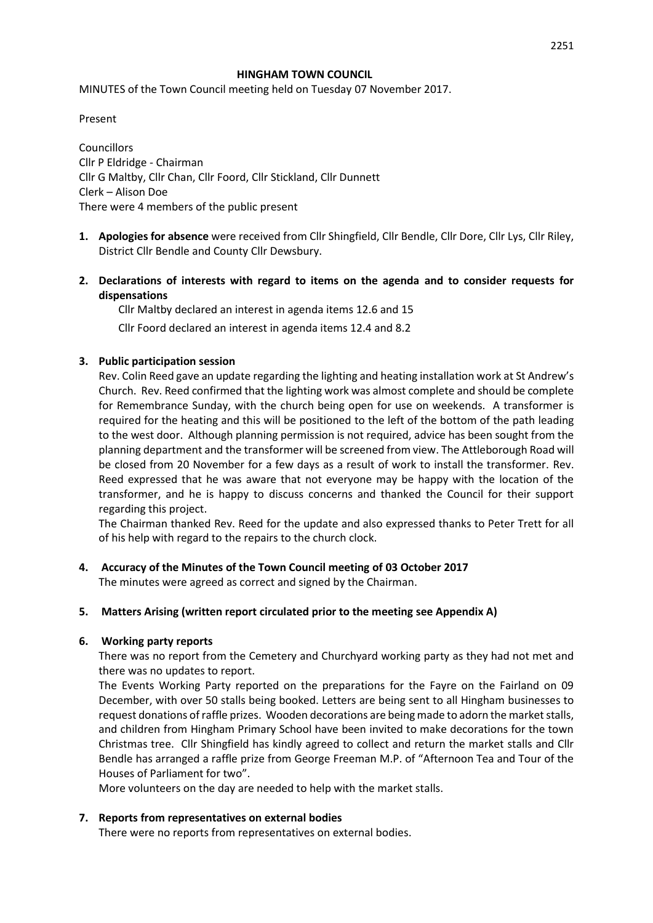#### **HINGHAM TOWN COUNCIL**

MINUTES of the Town Council meeting held on Tuesday 07 November 2017.

Present

**Councillors** Cllr P Eldridge - Chairman Cllr G Maltby, Cllr Chan, Cllr Foord, Cllr Stickland, Cllr Dunnett Clerk – Alison Doe There were 4 members of the public present

- **1. Apologies for absence** were received from Cllr Shingfield, Cllr Bendle, Cllr Dore, Cllr Lys, Cllr Riley, District Cllr Bendle and County Cllr Dewsbury.
- **2. Declarations of interests with regard to items on the agenda and to consider requests for dispensations**

Cllr Maltby declared an interest in agenda items 12.6 and 15

Cllr Foord declared an interest in agenda items 12.4 and 8.2

### **3. Public participation session**

Rev. Colin Reed gave an update regarding the lighting and heating installation work at St Andrew's Church. Rev. Reed confirmed that the lighting work was almost complete and should be complete for Remembrance Sunday, with the church being open for use on weekends. A transformer is required for the heating and this will be positioned to the left of the bottom of the path leading to the west door. Although planning permission is not required, advice has been sought from the planning department and the transformer will be screened from view. The Attleborough Road will be closed from 20 November for a few days as a result of work to install the transformer. Rev. Reed expressed that he was aware that not everyone may be happy with the location of the transformer, and he is happy to discuss concerns and thanked the Council for their support regarding this project.

The Chairman thanked Rev. Reed for the update and also expressed thanks to Peter Trett for all of his help with regard to the repairs to the church clock.

**4. Accuracy of the Minutes of the Town Council meeting of 03 October 2017** The minutes were agreed as correct and signed by the Chairman.

### **5. Matters Arising (written report circulated prior to the meeting see Appendix A)**

### **6. Working party reports**

There was no report from the Cemetery and Churchyard working party as they had not met and there was no updates to report.

The Events Working Party reported on the preparations for the Fayre on the Fairland on 09 December, with over 50 stalls being booked. Letters are being sent to all Hingham businesses to request donations of raffle prizes. Wooden decorations are being made to adorn the market stalls, and children from Hingham Primary School have been invited to make decorations for the town Christmas tree. Cllr Shingfield has kindly agreed to collect and return the market stalls and Cllr Bendle has arranged a raffle prize from George Freeman M.P. of "Afternoon Tea and Tour of the Houses of Parliament for two".

More volunteers on the day are needed to help with the market stalls.

### **7. Reports from representatives on external bodies**

There were no reports from representatives on external bodies.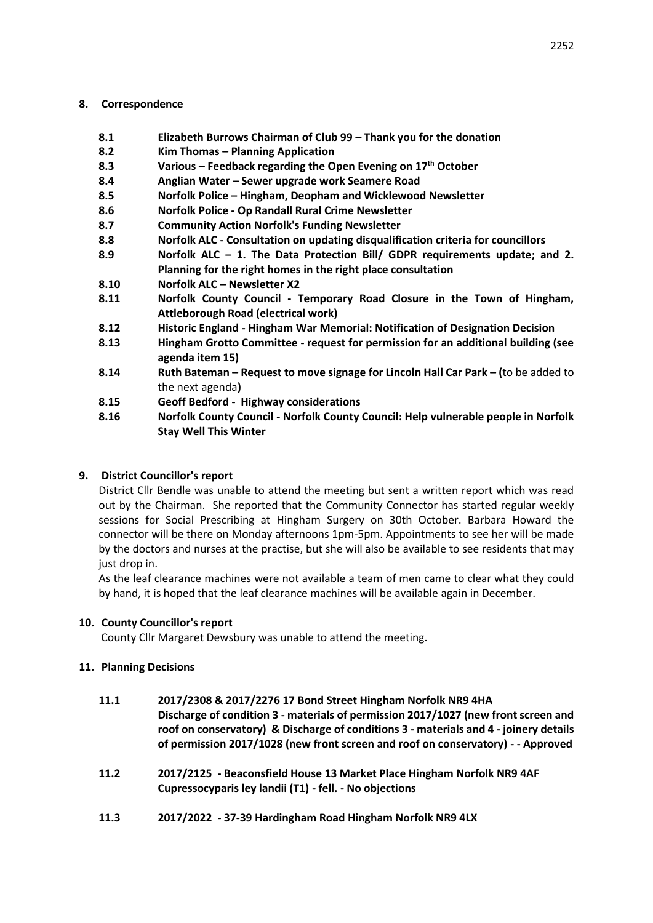## **8. Correspondence**

- **8.1 Elizabeth Burrows Chairman of Club 99 – Thank you for the donation**
- **8.2 Kim Thomas – Planning Application**
- **8.3 Various – Feedback regarding the Open Evening on 17th October**
- **8.4 Anglian Water – Sewer upgrade work Seamere Road**
- **8.5 Norfolk Police – Hingham, Deopham and Wicklewood Newsletter**
- **8.6 Norfolk Police - Op Randall Rural Crime Newsletter**
- **8.7 Community Action Norfolk's Funding Newsletter**
- **8.8 Norfolk ALC - Consultation on updating disqualification criteria for councillors**
- **8.9 Norfolk ALC – 1. The Data Protection Bill/ GDPR requirements update; and 2. Planning for the right homes in the right place consultation**
- **8.10 Norfolk ALC – Newsletter X2**
- **8.11 Norfolk County Council - Temporary Road Closure in the Town of Hingham, Attleborough Road (electrical work)**
- **8.12 Historic England - Hingham War Memorial: Notification of Designation Decision**
- **8.13 Hingham Grotto Committee - request for permission for an additional building (see agenda item 15)**
- **8.14 Ruth Bateman – Request to move signage for Lincoln Hall Car Park – (**to be added to the next agenda**)**
- **8.15 Geoff Bedford Highway considerations**
- **8.16 Norfolk County Council - Norfolk County Council: Help vulnerable people in Norfolk Stay Well This Winter**

## **9. District Councillor's report**

District Cllr Bendle was unable to attend the meeting but sent a written report which was read out by the Chairman. She reported that the Community Connector has started regular weekly sessions for Social Prescribing at Hingham Surgery on 30th October. Barbara Howard the connector will be there on Monday afternoons 1pm-5pm. Appointments to see her will be made by the doctors and nurses at the practise, but she will also be available to see residents that may just drop in.

As the leaf clearance machines were not available a team of men came to clear what they could by hand, it is hoped that the leaf clearance machines will be available again in December.

## **10. County Councillor's report**

County Cllr Margaret Dewsbury was unable to attend the meeting.

## **11. Planning Decisions**

## **11.1 2017/2308 & 2017/2276 17 Bond Street Hingham Norfolk NR9 4HA Discharge of condition 3 - materials of permission 2017/1027 (new front screen and roof on conservatory) & Discharge of conditions 3 - materials and 4 - joinery details of permission 2017/1028 (new front screen and roof on conservatory) - - Approved**

- **11.2 2017/2125 - Beaconsfield House 13 Market Place Hingham Norfolk NR9 4AF Cupressocyparis ley landii (T1) - fell. - No objections**
- **11.3 2017/2022 - 37-39 Hardingham Road Hingham Norfolk NR9 4LX**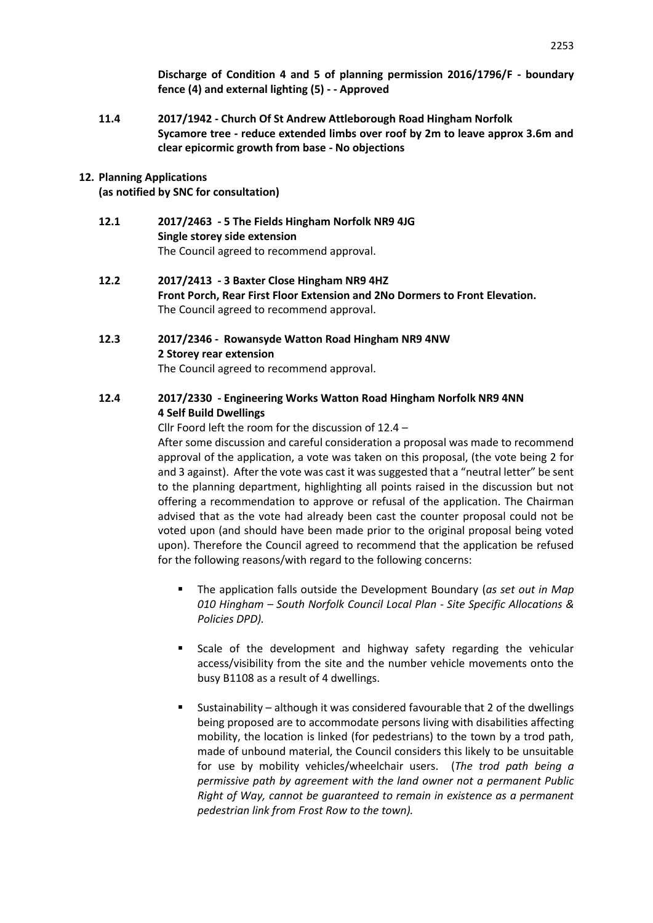**Discharge of Condition 4 and 5 of planning permission 2016/1796/F - boundary fence (4) and external lighting (5) - - Approved**

**11.4 2017/1942 - Church Of St Andrew Attleborough Road Hingham Norfolk Sycamore tree - reduce extended limbs over roof by 2m to leave approx 3.6m and clear epicormic growth from base - No objections**

### **12. Planning Applications**

**(as notified by SNC for consultation)**

- **12.1 2017/2463 - 5 The Fields Hingham Norfolk NR9 4JG Single storey side extension**  The Council agreed to recommend approval.
- **12.2 2017/2413 - 3 Baxter Close Hingham NR9 4HZ Front Porch, Rear First Floor Extension and 2No Dormers to Front Elevation.**  The Council agreed to recommend approval.

# **12.3 2017/2346 - Rowansyde Watton Road Hingham NR9 4NW 2 Storey rear extension**

The Council agreed to recommend approval.

## **12.4 2017/2330 - Engineering Works Watton Road Hingham Norfolk NR9 4NN 4 Self Build Dwellings**

Cllr Foord left the room for the discussion of 12.4 –

After some discussion and careful consideration a proposal was made to recommend approval of the application, a vote was taken on this proposal, (the vote being 2 for and 3 against). After the vote was cast it was suggested that a "neutral letter" be sent to the planning department, highlighting all points raised in the discussion but not offering a recommendation to approve or refusal of the application. The Chairman advised that as the vote had already been cast the counter proposal could not be voted upon (and should have been made prior to the original proposal being voted upon). Therefore the Council agreed to recommend that the application be refused for the following reasons/with regard to the following concerns:

- The application falls outside the Development Boundary (*as set out in Map 010 Hingham – South Norfolk Council Local Plan - Site Specific Allocations & Policies DPD).*
- Scale of the development and highway safety regarding the vehicular access/visibility from the site and the number vehicle movements onto the busy B1108 as a result of 4 dwellings.
- Sustainability although it was considered favourable that 2 of the dwellings being proposed are to accommodate persons living with disabilities affecting mobility, the location is linked (for pedestrians) to the town by a trod path, made of unbound material, the Council considers this likely to be unsuitable for use by mobility vehicles/wheelchair users. (*The trod path being a permissive path by agreement with the land owner not a permanent Public Right of Way, cannot be guaranteed to remain in existence as a permanent pedestrian link from Frost Row to the town).*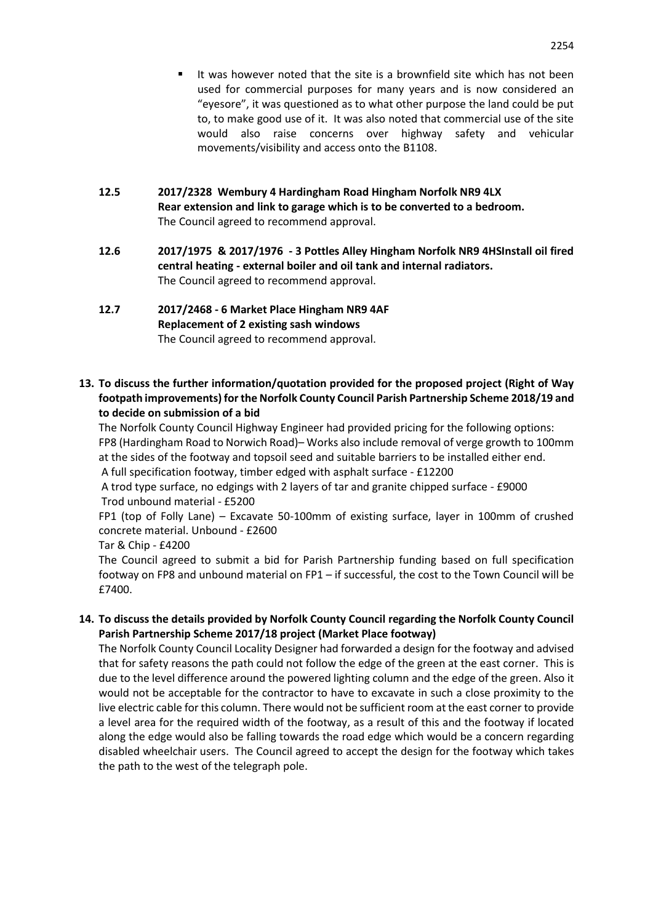- It was however noted that the site is a brownfield site which has not been used for commercial purposes for many years and is now considered an "eyesore", it was questioned as to what other purpose the land could be put to, to make good use of it. It was also noted that commercial use of the site would also raise concerns over highway safety and vehicular movements/visibility and access onto the B1108.
- **12.5 2017/2328 Wembury 4 Hardingham Road Hingham Norfolk NR9 4LX Rear extension and link to garage which is to be converted to a bedroom.**  The Council agreed to recommend approval.
- **12.6 2017/1975 & 2017/1976 - 3 Pottles Alley Hingham Norfolk NR9 4HSInstall oil fired central heating - external boiler and oil tank and internal radiators.**  The Council agreed to recommend approval.

## **12.7 2017/2468 - 6 Market Place Hingham NR9 4AF Replacement of 2 existing sash windows** The Council agreed to recommend approval.

**13. To discuss the further information/quotation provided for the proposed project (Right of Way footpath improvements) for the Norfolk County Council Parish Partnership Scheme 2018/19 and to decide on submission of a bid**

The Norfolk County Council Highway Engineer had provided pricing for the following options: FP8 (Hardingham Road to Norwich Road)– Works also include removal of verge growth to 100mm at the sides of the footway and topsoil seed and suitable barriers to be installed either end. A full specification footway, timber edged with asphalt surface - £12200

A trod type surface, no edgings with 2 layers of tar and granite chipped surface - £9000 Trod unbound material - £5200

FP1 (top of Folly Lane) – Excavate 50-100mm of existing surface, layer in 100mm of crushed concrete material. Unbound - £2600

Tar & Chip - £4200

The Council agreed to submit a bid for Parish Partnership funding based on full specification footway on FP8 and unbound material on FP1 – if successful, the cost to the Town Council will be £7400.

**14. To discuss the details provided by Norfolk County Council regarding the Norfolk County Council Parish Partnership Scheme 2017/18 project (Market Place footway)**

The Norfolk County Council Locality Designer had forwarded a design for the footway and advised that for safety reasons the path could not follow the edge of the green at the east corner. This is due to the level difference around the powered lighting column and the edge of the green. Also it would not be acceptable for the contractor to have to excavate in such a close proximity to the live electric cable for this column. There would not be sufficient room at the east corner to provide a level area for the required width of the footway, as a result of this and the footway if located along the edge would also be falling towards the road edge which would be a concern regarding disabled wheelchair users. The Council agreed to accept the design for the footway which takes the path to the west of the telegraph pole.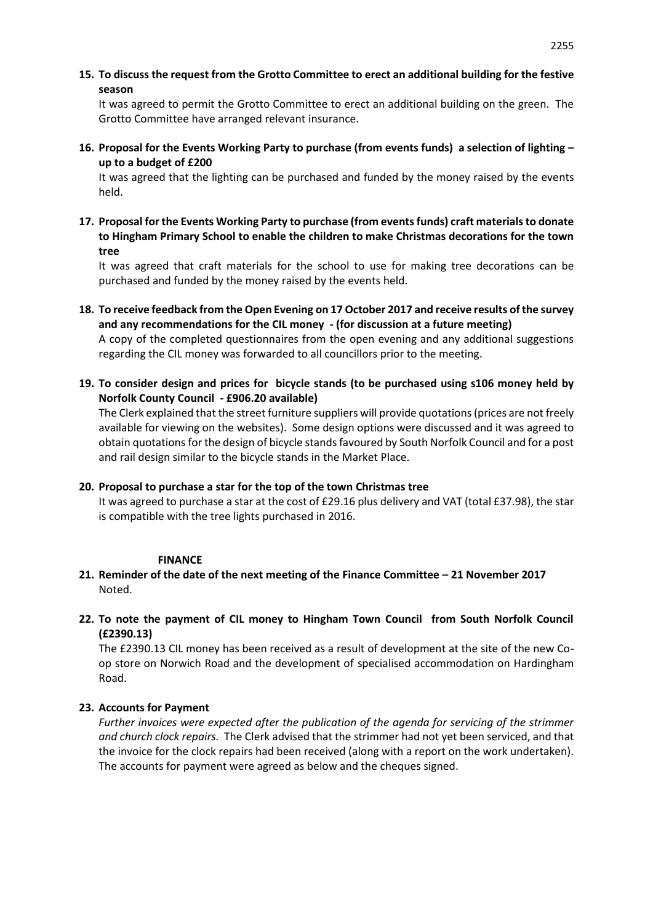**15. To discuss the request from the Grotto Committee to erect an additional building for the festive season** 

It was agreed to permit the Grotto Committee to erect an additional building on the green. The Grotto Committee have arranged relevant insurance.

**16. Proposal for the Events Working Party to purchase (from events funds) a selection of lighting – up to a budget of £200**

It was agreed that the lighting can be purchased and funded by the money raised by the events held.

**17. Proposal for the Events Working Party to purchase (from events funds) craft materials to donate to Hingham Primary School to enable the children to make Christmas decorations for the town tree** 

It was agreed that craft materials for the school to use for making tree decorations can be purchased and funded by the money raised by the events held.

- **18. To receive feedback from the Open Evening on 17 October 2017 and receive results of the survey and any recommendations for the CIL money - (for discussion at a future meeting)** A copy of the completed questionnaires from the open evening and any additional suggestions regarding the CIL money was forwarded to all councillors prior to the meeting.
- **19. To consider design and prices for bicycle stands (to be purchased using s106 money held by Norfolk County Council - £906.20 available)**

The Clerk explained that the street furniture suppliers will provide quotations (prices are not freely available for viewing on the websites). Some design options were discussed and it was agreed to obtain quotations for the design of bicycle stands favoured by South Norfolk Council and for a post and rail design similar to the bicycle stands in the Market Place.

### **20. Proposal to purchase a star for the top of the town Christmas tree**

It was agreed to purchase a star at the cost of £29.16 plus delivery and VAT (total £37.98), the star is compatible with the tree lights purchased in 2016.

### **FINANCE**

- **21. Reminder of the date of the next meeting of the Finance Committee – 21 November 2017** Noted.
- **22. To note the payment of CIL money to Hingham Town Council from South Norfolk Council (£2390.13)**

The £2390.13 CIL money has been received as a result of development at the site of the new Coop store on Norwich Road and the development of specialised accommodation on Hardingham Road.

## **23. Accounts for Payment**

*Further invoices were expected after the publication of the agenda for servicing of the strimmer and church clock repairs.* The Clerk advised that the strimmer had not yet been serviced, and that the invoice for the clock repairs had been received (along with a report on the work undertaken). The accounts for payment were agreed as below and the cheques signed.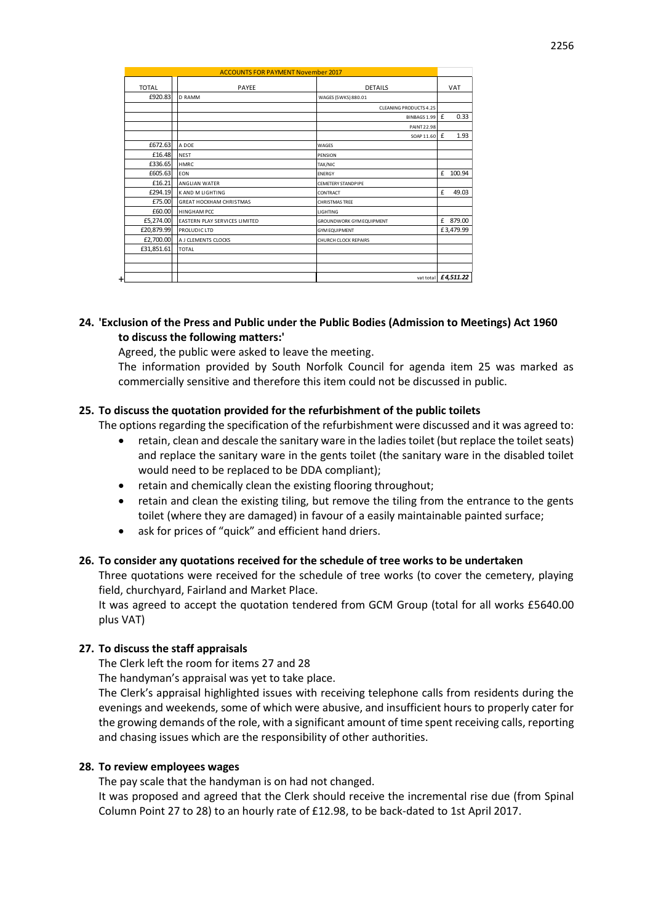| <b>ACCOUNTS FOR PAYMENT November 2017</b> |                                |                               |                       |
|-------------------------------------------|--------------------------------|-------------------------------|-----------------------|
| <b>TOTAL</b>                              | PAYEE                          | <b>DETAILS</b>                | <b>VAT</b>            |
| £920.83                                   | <b>D RAMM</b>                  | WAGES (5WKS) 880.01           |                       |
|                                           |                                | <b>CLEANING PRODUCTS 4.25</b> |                       |
|                                           |                                | BINBAGS 1.99                  | 0.33<br>£             |
|                                           |                                | <b>PAINT 22.98</b>            |                       |
|                                           |                                | SOAP 11.60                    | £<br>1.93             |
| £672.63                                   | A DOE                          | WAGES                         |                       |
| £16.48                                    | <b>NEST</b>                    | PENSION                       |                       |
| £336.65                                   | <b>HMRC</b>                    | TAX/NIC                       |                       |
| £605.63                                   | EON                            | <b>ENERGY</b>                 | £<br>100.94           |
| £16.21                                    | ANGLIAN WATER                  | <b>CEMETERY STANDPIPE</b>     |                       |
| £294.19                                   | <b>KAND M LIGHTING</b>         | CONTRACT                      | 49.03<br>£            |
| £75.00                                    | <b>GREAT HOCKHAM CHRISTMAS</b> | <b>CHRISTMAS TREE</b>         |                       |
| £60.00                                    | <b>HINGHAM PCC</b>             | LIGHTING                      |                       |
| £5,274.00                                 | EASTERN PLAY SERVICES LIMITED  | GROUNDWORK GYM EQUIPMENT      | £ 879.00              |
| £20,879.99                                | PROLUDIC LTD                   | <b>GYM EQUIPMENT</b>          | £3,479.99             |
| £2,700.00                                 | A J CLEMENTS CLOCKS            | CHURCH CLOCK REPAIRS          |                       |
| £31,851.61                                | <b>TOTAL</b>                   |                               |                       |
|                                           |                                |                               |                       |
|                                           |                                |                               |                       |
| $\ddot{}$                                 |                                |                               | vat total $f4,511.22$ |

### **24. 'Exclusion of the Press and Public under the Public Bodies (Admission to Meetings) Act 1960 to discuss the following matters:'**

Agreed, the public were asked to leave the meeting.

The information provided by South Norfolk Council for agenda item 25 was marked as commercially sensitive and therefore this item could not be discussed in public.

### **25. To discuss the quotation provided for the refurbishment of the public toilets**

The options regarding the specification of the refurbishment were discussed and it was agreed to:

- retain, clean and descale the sanitary ware in the ladies toilet (but replace the toilet seats) and replace the sanitary ware in the gents toilet (the sanitary ware in the disabled toilet would need to be replaced to be DDA compliant);
- retain and chemically clean the existing flooring throughout;
- retain and clean the existing tiling, but remove the tiling from the entrance to the gents toilet (where they are damaged) in favour of a easily maintainable painted surface;
- ask for prices of "quick" and efficient hand driers.

#### **26. To consider any quotations received for the schedule of tree works to be undertaken**

Three quotations were received for the schedule of tree works (to cover the cemetery, playing field, churchyard, Fairland and Market Place.

It was agreed to accept the quotation tendered from GCM Group (total for all works £5640.00 plus VAT)

#### **27. To discuss the staff appraisals**

The Clerk left the room for items 27 and 28

The handyman's appraisal was yet to take place.

The Clerk's appraisal highlighted issues with receiving telephone calls from residents during the evenings and weekends, some of which were abusive, and insufficient hours to properly cater for the growing demands of the role, with a significant amount of time spent receiving calls, reporting and chasing issues which are the responsibility of other authorities.

#### **28. To review employees wages**

The pay scale that the handyman is on had not changed.

It was proposed and agreed that the Clerk should receive the incremental rise due (from Spinal Column Point 27 to 28) to an hourly rate of £12.98, to be back-dated to 1st April 2017.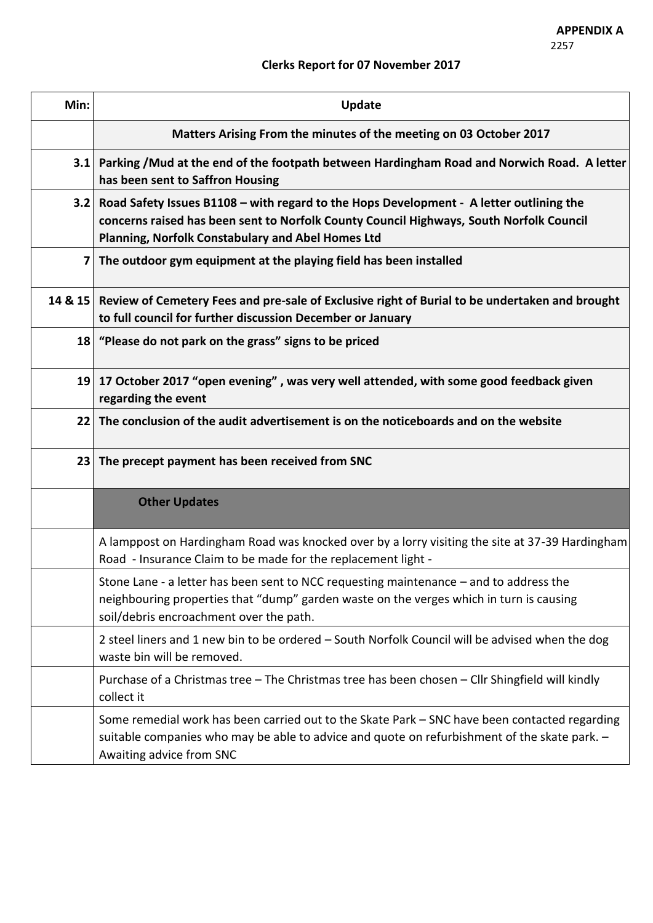# **Clerks Report for 07 November 2017**

| Min:         | Update                                                                                                                                                                                                                                  |
|--------------|-----------------------------------------------------------------------------------------------------------------------------------------------------------------------------------------------------------------------------------------|
|              | Matters Arising From the minutes of the meeting on 03 October 2017                                                                                                                                                                      |
| 3.1          | Parking /Mud at the end of the footpath between Hardingham Road and Norwich Road. A letter<br>has been sent to Saffron Housing                                                                                                          |
| 3.2          | Road Safety Issues B1108 - with regard to the Hops Development - A letter outlining the<br>concerns raised has been sent to Norfolk County Council Highways, South Norfolk Council<br>Planning, Norfolk Constabulary and Abel Homes Ltd |
| $\mathbf{7}$ | The outdoor gym equipment at the playing field has been installed                                                                                                                                                                       |
| 14 & 15      | Review of Cemetery Fees and pre-sale of Exclusive right of Burial to be undertaken and brought<br>to full council for further discussion December or January                                                                            |
|              | 18 "Please do not park on the grass" signs to be priced                                                                                                                                                                                 |
|              | 19 17 October 2017 "open evening", was very well attended, with some good feedback given<br>regarding the event                                                                                                                         |
| 22           | The conclusion of the audit advertisement is on the noticeboards and on the website                                                                                                                                                     |
|              | 23 The precept payment has been received from SNC                                                                                                                                                                                       |
|              | <b>Other Updates</b>                                                                                                                                                                                                                    |
|              | A lamppost on Hardingham Road was knocked over by a lorry visiting the site at 37-39 Hardingham<br>Road - Insurance Claim to be made for the replacement light -                                                                        |
|              | Stone Lane - a letter has been sent to NCC requesting maintenance - and to address the<br>neighbouring properties that "dump" garden waste on the verges which in turn is causing<br>soil/debris encroachment over the path.            |
|              | 2 steel liners and 1 new bin to be ordered - South Norfolk Council will be advised when the dog<br>waste bin will be removed.                                                                                                           |
|              | Purchase of a Christmas tree - The Christmas tree has been chosen - Cllr Shingfield will kindly<br>collect it                                                                                                                           |
|              | Some remedial work has been carried out to the Skate Park - SNC have been contacted regarding<br>suitable companies who may be able to advice and quote on refurbishment of the skate park. -<br>Awaiting advice from SNC               |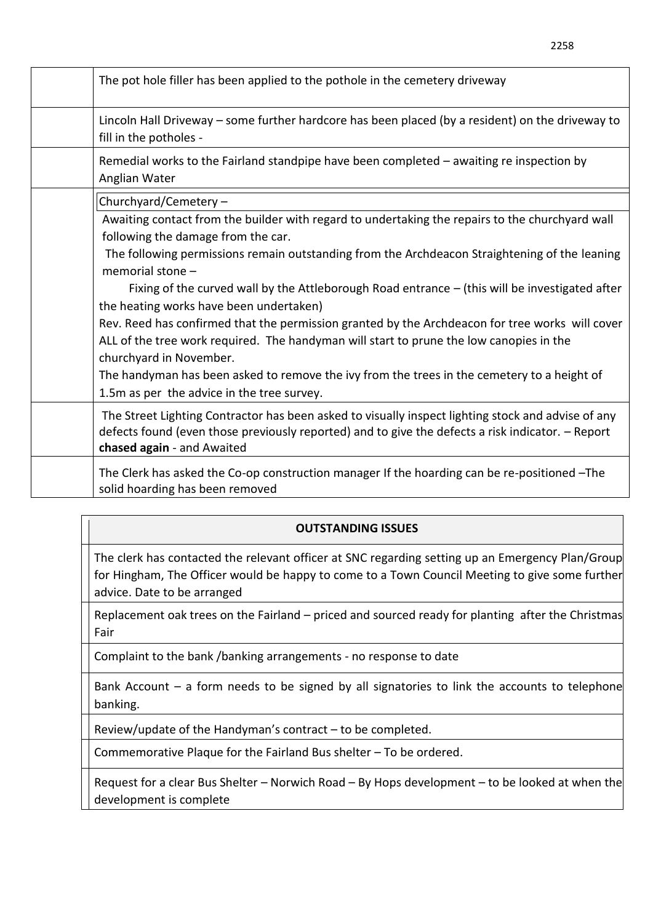| The pot hole filler has been applied to the pothole in the cemetery driveway                                                                                                                                                          |
|---------------------------------------------------------------------------------------------------------------------------------------------------------------------------------------------------------------------------------------|
| Lincoln Hall Driveway – some further hardcore has been placed (by a resident) on the driveway to<br>fill in the potholes -                                                                                                            |
| Remedial works to the Fairland standpipe have been completed - awaiting re inspection by<br>Anglian Water                                                                                                                             |
| Churchyard/Cemetery -                                                                                                                                                                                                                 |
| Awaiting contact from the builder with regard to undertaking the repairs to the churchyard wall<br>following the damage from the car.                                                                                                 |
| The following permissions remain outstanding from the Archdeacon Straightening of the leaning<br>memorial stone -                                                                                                                     |
| Fixing of the curved wall by the Attleborough Road entrance - (this will be investigated after<br>the heating works have been undertaken)                                                                                             |
| Rev. Reed has confirmed that the permission granted by the Archdeacon for tree works will cover<br>ALL of the tree work required. The handyman will start to prune the low canopies in the<br>churchyard in November.                 |
| The handyman has been asked to remove the ivy from the trees in the cemetery to a height of<br>1.5m as per the advice in the tree survey.                                                                                             |
| The Street Lighting Contractor has been asked to visually inspect lighting stock and advise of any<br>defects found (even those previously reported) and to give the defects a risk indicator. - Report<br>chased again - and Awaited |
| The Clerk has asked the Co-op construction manager If the hoarding can be re-positioned -The<br>solid hoarding has been removed                                                                                                       |

## **OUTSTANDING ISSUES**

The clerk has contacted the relevant officer at SNC regarding setting up an Emergency Plan/Group for Hingham, The Officer would be happy to come to a Town Council Meeting to give some further advice. Date to be arranged

Replacement oak trees on the Fairland – priced and sourced ready for planting after the Christmas Fair

Complaint to the bank /banking arrangements - no response to date

Bank Account – a form needs to be signed by all signatories to link the accounts to telephone banking.

Review/update of the Handyman's contract – to be completed.

Commemorative Plaque for the Fairland Bus shelter – To be ordered.

Request for a clear Bus Shelter – Norwich Road – By Hops development – to be looked at when the development is complete